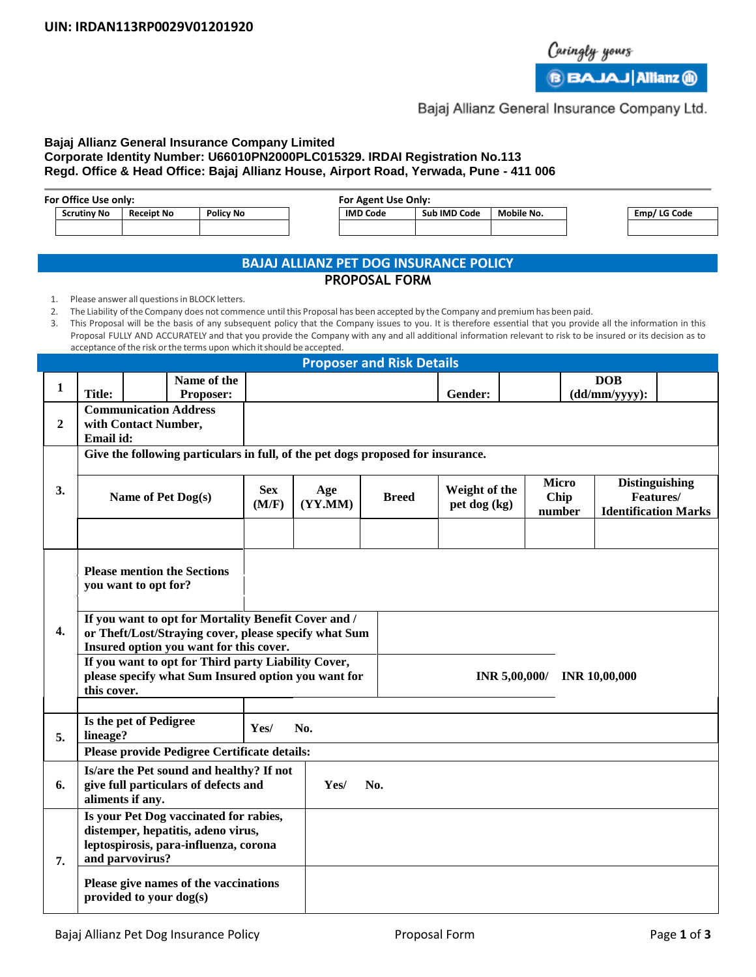

**B** BAJAJ Allianz **(ii)** 

## Bajaj Allianz General Insurance Company Ltd.

### **Bajaj Allianz General Insurance Company Limited Corporate Identity Number: U66010PN2000PLC015329. IRDAI Registration No.113 Regd. Office & Head Office: Bajaj Allianz House, Airport Road, Yerwada, Pune - 411 006**

| For Office Use only: |                   |           |  | <b>For Agent Use Only:</b> |              |            |  |              |
|----------------------|-------------------|-----------|--|----------------------------|--------------|------------|--|--------------|
| <b>Scrutiny No</b>   | <b>Receipt No</b> | Policy No |  | <b>IMD Code</b>            | Sub IMD Code | Mobile No. |  | Emp/ LG Code |
|                      |                   |           |  |                            |              |            |  |              |
|                      |                   |           |  |                            |              |            |  |              |

# **BAJAJ ALLIANZ PET DOG INSURANCE POLICY**

### **PROPOSAL FORM**

1. Please answer all questions in BLOCK letters.

2. The Liability ofthe Company does not commence untilthis Proposal has been accepted by the Company and premiumhas been paid.

3. This Proposal will be the basis of any subsequent policy that the Company issues to you. It is therefore essential that you provide all the information in this Proposal FULLY AND ACCURATELY and that you provide the Company with any and all additional information relevant to risk to be insured or its decision as to acceptance of the risk or the terms upon which it should be accepted.

|                               | <b>Proposer and Risk Details</b>                                                                                                                         |                      |                                          |                     |                |                             |               |                      |                             |                                    |  |
|-------------------------------|----------------------------------------------------------------------------------------------------------------------------------------------------------|----------------------|------------------------------------------|---------------------|----------------|-----------------------------|---------------|----------------------|-----------------------------|------------------------------------|--|
|                               |                                                                                                                                                          |                      | Name of the                              |                     |                |                             |               |                      |                             | <b>DOB</b>                         |  |
| $\mathbf{1}$<br><b>Title:</b> |                                                                                                                                                          |                      | Proposer:                                |                     |                |                             | Gender:       |                      | $(dd/\nmu\prime$ yyyy):     |                                    |  |
|                               | <b>Communication Address</b><br>$\overline{2}$<br>with Contact Number,                                                                                   |                      |                                          |                     |                |                             |               |                      |                             |                                    |  |
|                               |                                                                                                                                                          |                      |                                          |                     |                |                             |               |                      |                             |                                    |  |
|                               | Email id:                                                                                                                                                |                      |                                          |                     |                |                             |               |                      |                             |                                    |  |
|                               | Give the following particulars in full, of the pet dogs proposed for insurance.                                                                          |                      |                                          |                     |                |                             |               |                      |                             |                                    |  |
| 3.                            | Name of Pet Dog(s)                                                                                                                                       |                      |                                          | <b>Sex</b><br>(M/F) | Age<br>(YY.MM) | <b>Breed</b>                | Weight of the | <b>Micro</b><br>Chip |                             | <b>Distinguishing</b><br>Features/ |  |
|                               |                                                                                                                                                          |                      |                                          |                     |                | pet dog (kg)                |               | number               | <b>Identification Marks</b> |                                    |  |
|                               |                                                                                                                                                          |                      |                                          |                     |                |                             |               |                      |                             |                                    |  |
|                               |                                                                                                                                                          | you want to opt for? | <b>Please mention the Sections</b>       |                     |                |                             |               |                      |                             |                                    |  |
| 4.                            | If you want to opt for Mortality Benefit Cover and /<br>or Theft/Lost/Straying cover, please specify what Sum<br>Insured option you want for this cover. |                      |                                          |                     |                |                             |               |                      |                             |                                    |  |
|                               | If you want to opt for Third party Liability Cover,<br>please specify what Sum Insured option you want for<br>this cover.                                |                      |                                          |                     |                | INR 5,00,000/ INR 10,00,000 |               |                      |                             |                                    |  |
|                               |                                                                                                                                                          |                      |                                          |                     |                |                             |               |                      |                             |                                    |  |
| 5.                            | Is the pet of Pedigree<br>Yes/<br>lineage?                                                                                                               |                      |                                          | No.                 |                |                             |               |                      |                             |                                    |  |
|                               | Please provide Pedigree Certificate details:                                                                                                             |                      |                                          |                     |                |                             |               |                      |                             |                                    |  |
|                               |                                                                                                                                                          |                      | Is/are the Pet sound and healthy? If not |                     |                |                             |               |                      |                             |                                    |  |
| 6.                            | give full particulars of defects and<br>aliments if any.                                                                                                 |                      |                                          |                     | Yes/           | No.                         |               |                      |                             |                                    |  |
|                               | Is your Pet Dog vaccinated for rabies,                                                                                                                   |                      |                                          |                     |                |                             |               |                      |                             |                                    |  |
|                               | distemper, hepatitis, adeno virus,                                                                                                                       |                      |                                          |                     |                |                             |               |                      |                             |                                    |  |
|                               | leptospirosis, para-influenza, corona                                                                                                                    |                      |                                          |                     |                |                             |               |                      |                             |                                    |  |
| 7.                            | and parvovirus?                                                                                                                                          |                      |                                          |                     |                |                             |               |                      |                             |                                    |  |
|                               | Please give names of the vaccinations<br>provided to your dog(s)                                                                                         |                      |                                          |                     |                |                             |               |                      |                             |                                    |  |
|                               |                                                                                                                                                          |                      |                                          |                     |                |                             |               |                      |                             |                                    |  |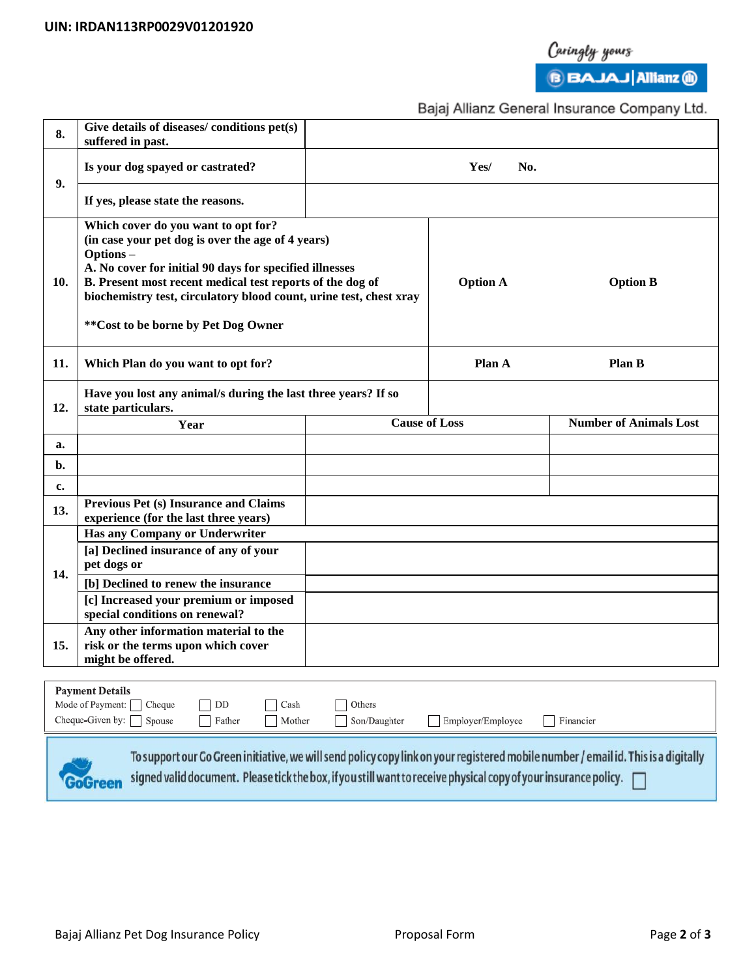

Caringly yours<br>**BBAJAJ** Allianz **(1)** 

Bajaj Allianz General Insurance Company Ltd.

| 8.                                                                                                                                 | Give details of diseases/ conditions pet(s)<br>suffered in past.                                                                                                                                                                                                                                                                           |                      |                 |                               |  |  |  |  |
|------------------------------------------------------------------------------------------------------------------------------------|--------------------------------------------------------------------------------------------------------------------------------------------------------------------------------------------------------------------------------------------------------------------------------------------------------------------------------------------|----------------------|-----------------|-------------------------------|--|--|--|--|
| 9.                                                                                                                                 | Is your dog spayed or castrated?                                                                                                                                                                                                                                                                                                           | Yes/<br>No.          |                 |                               |  |  |  |  |
|                                                                                                                                    | If yes, please state the reasons.                                                                                                                                                                                                                                                                                                          |                      |                 |                               |  |  |  |  |
| 10.                                                                                                                                | Which cover do you want to opt for?<br>(in case your pet dog is over the age of 4 years)<br>Options-<br>A. No cover for initial 90 days for specified illnesses<br>B. Present most recent medical test reports of the dog of<br>biochemistry test, circulatory blood count, urine test, chest xray<br>** Cost to be borne by Pet Dog Owner | <b>Option A</b>      | <b>Option B</b> |                               |  |  |  |  |
| 11.                                                                                                                                | Which Plan do you want to opt for?                                                                                                                                                                                                                                                                                                         | Plan A               | <b>Plan B</b>   |                               |  |  |  |  |
| 12.                                                                                                                                | Have you lost any animal/s during the last three years? If so<br>state particulars.                                                                                                                                                                                                                                                        |                      |                 |                               |  |  |  |  |
|                                                                                                                                    | Year                                                                                                                                                                                                                                                                                                                                       | <b>Cause of Loss</b> |                 | <b>Number of Animals Lost</b> |  |  |  |  |
| a.                                                                                                                                 |                                                                                                                                                                                                                                                                                                                                            |                      |                 |                               |  |  |  |  |
| b.                                                                                                                                 |                                                                                                                                                                                                                                                                                                                                            |                      |                 |                               |  |  |  |  |
| c.                                                                                                                                 | <b>Previous Pet (s) Insurance and Claims</b>                                                                                                                                                                                                                                                                                               |                      |                 |                               |  |  |  |  |
| 13.                                                                                                                                | experience (for the last three years)                                                                                                                                                                                                                                                                                                      |                      |                 |                               |  |  |  |  |
|                                                                                                                                    | Has any Company or Underwriter<br>[a] Declined insurance of any of your                                                                                                                                                                                                                                                                    |                      |                 |                               |  |  |  |  |
|                                                                                                                                    | pet dogs or                                                                                                                                                                                                                                                                                                                                |                      |                 |                               |  |  |  |  |
| 14.                                                                                                                                | [b] Declined to renew the insurance                                                                                                                                                                                                                                                                                                        |                      |                 |                               |  |  |  |  |
|                                                                                                                                    | [c] Increased your premium or imposed<br>special conditions on renewal?                                                                                                                                                                                                                                                                    |                      |                 |                               |  |  |  |  |
| 15.                                                                                                                                | Any other information material to the<br>risk or the terms upon which cover<br>might be offered.                                                                                                                                                                                                                                           |                      |                 |                               |  |  |  |  |
|                                                                                                                                    |                                                                                                                                                                                                                                                                                                                                            |                      |                 |                               |  |  |  |  |
| <b>Payment Details</b><br>Mode of Payment:<br>Cheque<br>DD<br>Others<br>Cash                                                       |                                                                                                                                                                                                                                                                                                                                            |                      |                 |                               |  |  |  |  |
| Cheque-Given by:<br>Spouse<br>Father<br>Mother<br>Son/Daughter<br>Employer/Employee<br>Financier                                   |                                                                                                                                                                                                                                                                                                                                            |                      |                 |                               |  |  |  |  |
|                                                                                                                                    |                                                                                                                                                                                                                                                                                                                                            |                      |                 |                               |  |  |  |  |
| To support our Go Green initiative, we will send policy copy link on your registered mobile number / email id. This is a digitally |                                                                                                                                                                                                                                                                                                                                            |                      |                 |                               |  |  |  |  |
|                                                                                                                                    | signed valid document. Please tick the box, if you still want to receive physical copy of your insurance policy.<br>GoGreen                                                                                                                                                                                                                |                      |                 |                               |  |  |  |  |